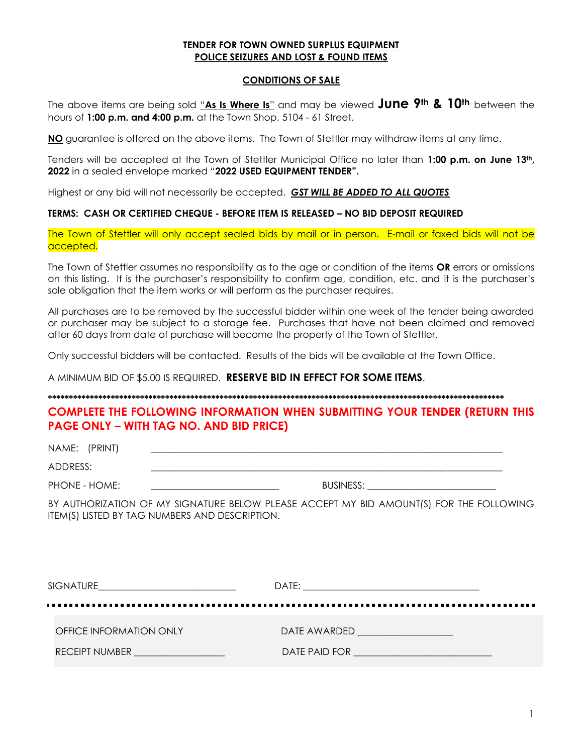## **TENDER FOR TOWN OWNED SURPLUS EQUIPMENT POLICE SEIZURES AND LOST & FOUND ITEMS**

### **CONDITIONS OF SALE**

The above items are being sold "**As Is Where Is**" and may be viewed **June 9th & 10th** between the hours of **1:00 p.m. and 4:00 p.m.** at the Town Shop, 5104 - 61 Street.

**NO** guarantee is offered on the above items. The Town of Stettler may withdraw items at any time.

Tenders will be accepted at the Town of Stettler Municipal Office no later than **1:00 p.m. on June 13th, 2022** in a sealed envelope marked "**2022 USED EQUIPMENT TENDER".**

Highest or any bid will not necessarily be accepted. *GST WILL BE ADDED TO ALL QUOTES*

## **TERMS: CASH OR CERTIFIED CHEQUE - BEFORE ITEM IS RELEASED – NO BID DEPOSIT REQUIRED**

The Town of Stettler will only accept sealed bids by mail or in person. E-mail or faxed bids will not be accepted.

The Town of Stettler assumes no responsibility as to the age or condition of the items **OR** errors or omissions on this listing. It is the purchaser's responsibility to confirm age, condition, etc. and it is the purchaser's sole obligation that the item works or will perform as the purchaser requires.

All purchases are to be removed by the successful bidder within one week of the tender being awarded or purchaser may be subject to a storage fee. Purchases that have not been claimed and removed after 60 days from date of purchase will become the property of the Town of Stettler.

Only successful bidders will be contacted. Results of the bids will be available at the Town Office.

A MINIMUM BID OF \$5.00 IS REQUIRED. **RESERVE BID IN EFFECT FOR SOME ITEMS**.

#### **\*\*\*\*\*\*\*\*\*\*\*\*\*\*\*\*\*\*\*\*\*\*\*\*\*\*\*\*\*\*\*\*\*\*\*\*\*\*\*\*\*\*\*\*\*\*\*\*\*\*\*\*\*\*\*\*\*\*\*\*\*\*\*\*\*\*\*\*\*\*\*\*\*\*\*\*\*\*\*\*\*\*\*\*\*\*\*\*\*\*\*\*\*\*\*\*\*\*\*\*\*\*\*\*\*\*\*\*\***

**COMPLETE THE FOLLOWING INFORMATION WHEN SUBMITTING YOUR TENDER (RETURN THIS PAGE ONLY – WITH TAG NO. AND BID PRICE)**

NAME: (PRINT) ADDRESS: \_\_\_\_\_\_\_\_\_\_\_\_\_\_\_\_\_\_\_\_\_\_\_\_\_\_\_\_\_\_\_\_\_\_\_\_\_\_\_\_\_\_\_\_\_\_\_\_\_\_\_\_\_\_\_\_\_\_\_\_\_\_\_\_\_\_\_\_\_\_\_\_\_\_

PHONE - HOME: \_\_\_\_\_\_\_\_\_\_\_\_\_\_\_\_\_\_\_\_\_\_\_\_\_\_\_ BUSINESS: \_\_\_\_\_\_\_\_\_\_\_\_\_\_\_\_\_\_\_\_\_\_\_\_\_\_\_

BY AUTHORIZATION OF MY SIGNATURE BELOW PLEASE ACCEPT MY BID AMOUNT(S) FOR THE FOLLOWING ITEM(S) LISTED BY TAG NUMBERS AND DESCRIPTION.

| SIGNATURE                                                             | DATE:<br><u> 1980 - Jan Barnett, margaret eta biztanleria (h. 1980).</u><br>1900 - Jan Barnett, italiar izan zen, bainar biztanleria (h. 1900). |
|-----------------------------------------------------------------------|-------------------------------------------------------------------------------------------------------------------------------------------------|
|                                                                       |                                                                                                                                                 |
| OFFICE INFORMATION ONLY                                               | DATE AWARDED AND A CONTROLLER THE STATE OF THE STATE OF THE STATE OF THE STATE OF THE STATE OF THE STATE OF TH                                  |
| <b>RECEIPT NUMBER</b><br>the control of the control of the control of | DATE PAID FOR <u>___________________________</u>                                                                                                |
|                                                                       |                                                                                                                                                 |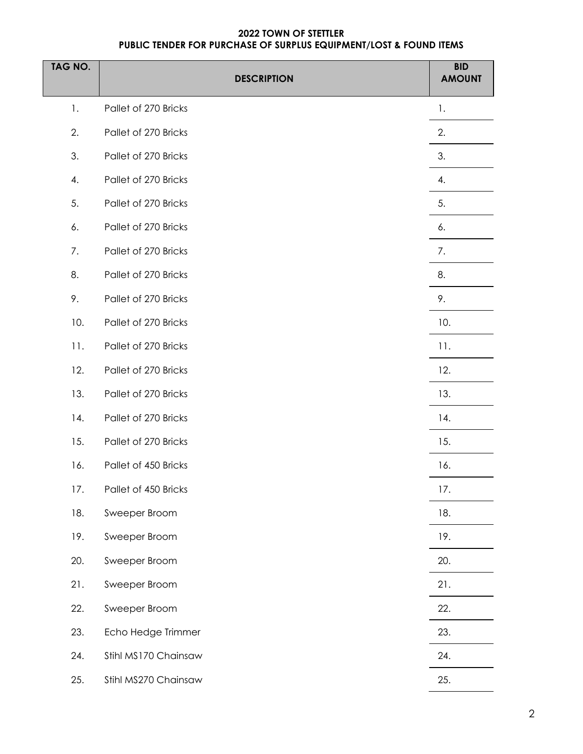# **2022 TOWN OF STETTLER PUBLIC TENDER FOR PURCHASE OF SURPLUS EQUIPMENT/LOST & FOUND ITEMS**

| TAG NO. | <b>DESCRIPTION</b>   | <b>BID</b><br><b>AMOUNT</b> |
|---------|----------------------|-----------------------------|
| 1.      | Pallet of 270 Bricks | 1.                          |
| 2.      | Pallet of 270 Bricks | 2.                          |
| 3.      | Pallet of 270 Bricks | 3.                          |
| 4.      | Pallet of 270 Bricks | 4.                          |
| 5.      | Pallet of 270 Bricks | 5.                          |
| 6.      | Pallet of 270 Bricks | 6.                          |
| 7.      | Pallet of 270 Bricks | 7.                          |
| 8.      | Pallet of 270 Bricks | 8.                          |
| 9.      | Pallet of 270 Bricks | 9.                          |
| 10.     | Pallet of 270 Bricks | 10.                         |
| 11.     | Pallet of 270 Bricks | 11.                         |
| 12.     | Pallet of 270 Bricks | 12.                         |
| 13.     | Pallet of 270 Bricks | 13.                         |
| 14.     | Pallet of 270 Bricks | 14.                         |
| 15.     | Pallet of 270 Bricks | 15.                         |
| 16.     | Pallet of 450 Bricks | 16.                         |
| 17.     | Pallet of 450 Bricks | 17.                         |
| 18.     | Sweeper Broom        | 18.                         |
| 19.     | Sweeper Broom        | 19.                         |
| 20.     | Sweeper Broom        | 20.                         |
| 21.     | Sweeper Broom        | 21.                         |
| 22.     | Sweeper Broom        | 22.                         |
| 23.     | Echo Hedge Trimmer   | 23.                         |
| 24.     | Stihl MS170 Chainsaw | 24.                         |
| 25.     | Stihl MS270 Chainsaw | 25.                         |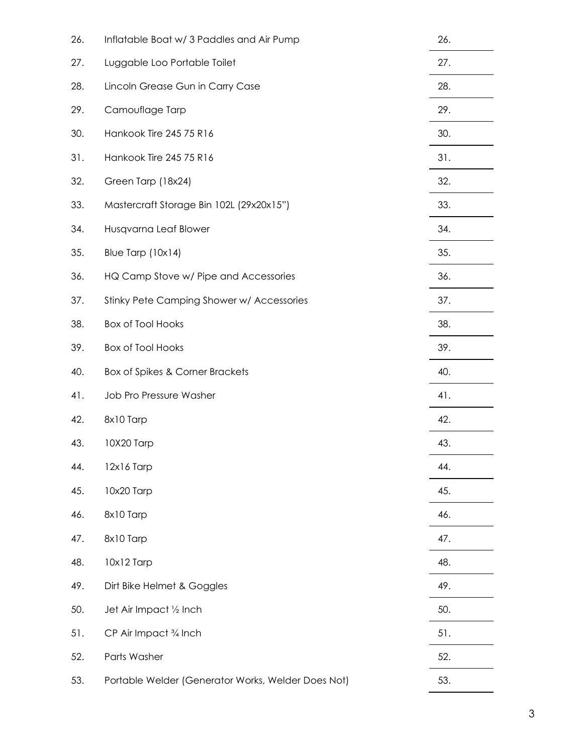| 26. | Inflatable Boat w/3 Paddles and Air Pump           | 26. |
|-----|----------------------------------------------------|-----|
| 27. | Luggable Loo Portable Toilet                       | 27. |
| 28. | Lincoln Grease Gun in Carry Case                   | 28. |
| 29. | Camouflage Tarp                                    | 29. |
| 30. | Hankook Tire 245 75 R16                            | 30. |
| 31. | Hankook Tire 245 75 R16                            | 31. |
| 32. | Green Tarp (18x24)                                 | 32. |
| 33. | Mastercraft Storage Bin 102L (29x20x15")           | 33. |
| 34. | Husqvarna Leaf Blower                              | 34. |
| 35. | Blue Tarp (10x14)                                  | 35. |
| 36. | HQ Camp Stove w/ Pipe and Accessories              | 36. |
| 37. | Stinky Pete Camping Shower w/ Accessories          | 37. |
| 38. | <b>Box of Tool Hooks</b>                           | 38. |
| 39. | <b>Box of Tool Hooks</b>                           | 39. |
| 40. | Box of Spikes & Corner Brackets                    | 40. |
| 41. | Job Pro Pressure Washer                            | 41. |
| 42. | 8x10 Tarp                                          | 42. |
| 43. | 10X20 Tarp                                         | 43. |
| 44. | 12x16 Tarp                                         | 44. |
| 45. | 10x20 Tarp                                         | 45. |
| 46. | 8x10 Tarp                                          | 46. |
| 47. | 8x10 Tarp                                          | 47. |
| 48. | 10x12 Tarp                                         | 48. |
| 49. | Dirt Bike Helmet & Goggles                         | 49. |
| 50. | Jet Air Impact 1/2 Inch                            | 50. |
| 51. | CP Air Impact 3/4 Inch                             | 51. |
| 52. | Parts Washer                                       | 52. |
| 53. | Portable Welder (Generator Works, Welder Does Not) | 53. |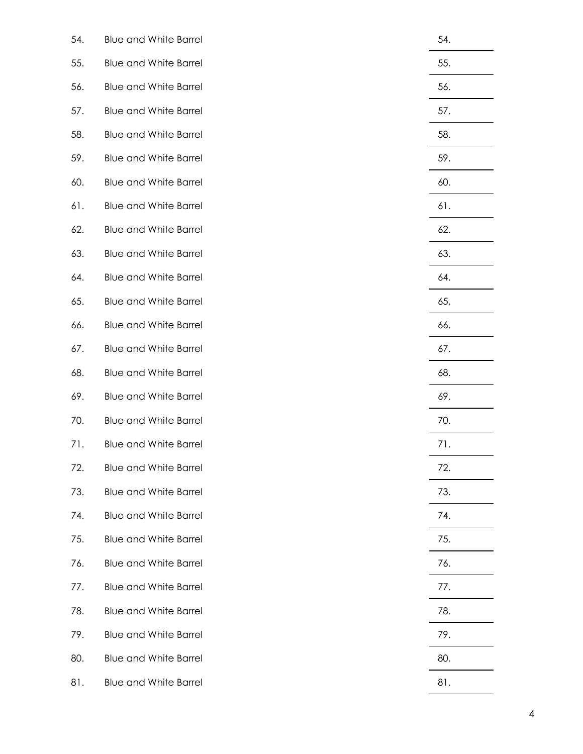| 54. | <b>Blue and White Barrel</b> | 54. |
|-----|------------------------------|-----|
| 55. | <b>Blue and White Barrel</b> | 55. |
| 56. | <b>Blue and White Barrel</b> | 56. |
| 57. | <b>Blue and White Barrel</b> | 57. |
| 58. | <b>Blue and White Barrel</b> | 58. |
| 59. | <b>Blue and White Barrel</b> | 59. |
| 60. | <b>Blue and White Barrel</b> | 60. |
| 61. | <b>Blue and White Barrel</b> | 61. |
| 62. | <b>Blue and White Barrel</b> | 62. |
| 63. | <b>Blue and White Barrel</b> | 63. |
| 64. | <b>Blue and White Barrel</b> | 64. |
| 65. | <b>Blue and White Barrel</b> | 65. |
| 66. | <b>Blue and White Barrel</b> | 66. |
| 67. | <b>Blue and White Barrel</b> | 67. |
| 68. | <b>Blue and White Barrel</b> | 68. |
| 69. | <b>Blue and White Barrel</b> | 69. |
| 70. | <b>Blue and White Barrel</b> | 70. |
| 71. | <b>Blue and White Barrel</b> | 71. |
| 72. | <b>Blue and White Barrel</b> | 72. |
| 73. | <b>Blue and White Barrel</b> | 73. |
| 74. | <b>Blue and White Barrel</b> | 74. |
| 75. | <b>Blue and White Barrel</b> | 75. |
| 76. | <b>Blue and White Barrel</b> | 76. |
| 77. | <b>Blue and White Barrel</b> | 77. |
| 78. | <b>Blue and White Barrel</b> | 78. |
| 79. | <b>Blue and White Barrel</b> | 79. |
| 80. | <b>Blue and White Barrel</b> | 80. |
| 81. | <b>Blue and White Barrel</b> | 81. |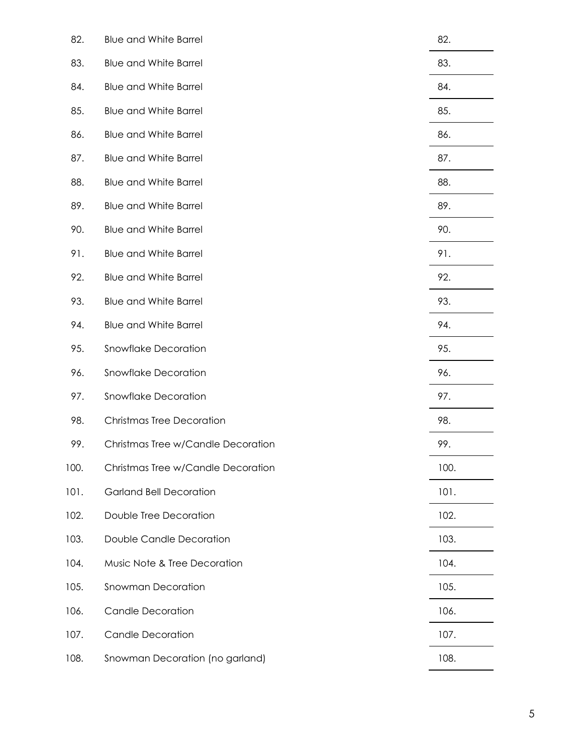| 82.  | <b>Blue and White Barrel</b>       | 82.  |
|------|------------------------------------|------|
| 83.  | <b>Blue and White Barrel</b>       | 83.  |
| 84.  | <b>Blue and White Barrel</b>       | 84.  |
| 85.  | <b>Blue and White Barrel</b>       | 85.  |
| 86.  | <b>Blue and White Barrel</b>       | 86.  |
| 87.  | <b>Blue and White Barrel</b>       | 87.  |
| 88.  | <b>Blue and White Barrel</b>       | 88.  |
| 89.  | <b>Blue and White Barrel</b>       | 89.  |
| 90.  | <b>Blue and White Barrel</b>       | 90.  |
| 91.  | <b>Blue and White Barrel</b>       | 91.  |
| 92.  | <b>Blue and White Barrel</b>       | 92.  |
| 93.  | <b>Blue and White Barrel</b>       | 93.  |
| 94.  | <b>Blue and White Barrel</b>       | 94.  |
| 95.  | Snowflake Decoration               | 95.  |
| 96.  | Snowflake Decoration               | 96.  |
| 97.  | Snowflake Decoration               | 97.  |
| 98.  | <b>Christmas Tree Decoration</b>   | 98.  |
| 99.  | Christmas Tree w/Candle Decoration | 99.  |
| 100. | Christmas Tree w/Candle Decoration | 100. |
| 101. | <b>Garland Bell Decoration</b>     | 101. |
| 102. | Double Tree Decoration             | 102. |
| 103. | Double Candle Decoration           | 103. |
| 104. | Music Note & Tree Decoration       | 104. |
| 105. | Snowman Decoration                 | 105. |
| 106. | <b>Candle Decoration</b>           | 106. |
| 107. | <b>Candle Decoration</b>           | 107. |
| 108. | Snowman Decoration (no garland)    | 108. |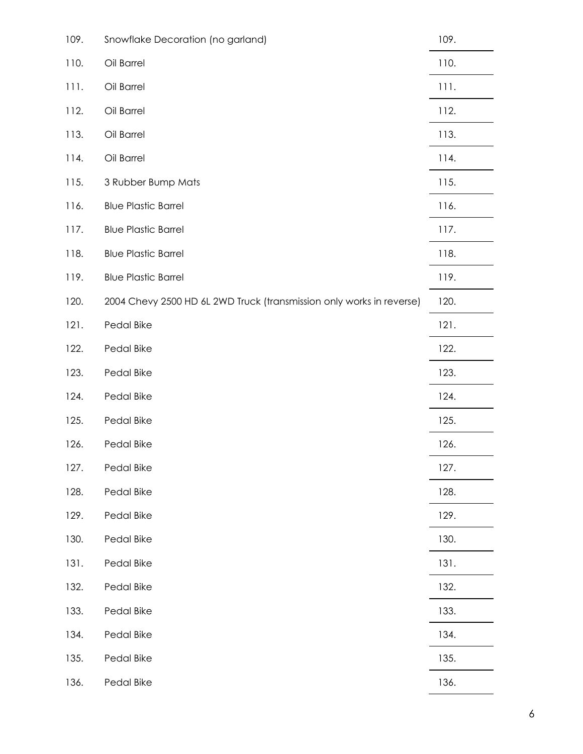| 109. | Snowflake Decoration (no garland)                                    | 109. |
|------|----------------------------------------------------------------------|------|
| 110. | Oil Barrel                                                           | 110. |
| 111. | Oil Barrel                                                           | 111. |
| 112. | Oil Barrel                                                           | 112. |
| 113. | Oil Barrel                                                           | 113. |
| 114. | Oil Barrel                                                           | 114. |
| 115. | 3 Rubber Bump Mats                                                   | 115. |
| 116. | <b>Blue Plastic Barrel</b>                                           | 116. |
| 117. | <b>Blue Plastic Barrel</b>                                           | 117. |
| 118. | <b>Blue Plastic Barrel</b>                                           | 118. |
| 119. | <b>Blue Plastic Barrel</b>                                           | 119. |
| 120. | 2004 Chevy 2500 HD 6L 2WD Truck (transmission only works in reverse) | 120. |
| 121. | Pedal Bike                                                           | 121. |
| 122. | Pedal Bike                                                           | 122. |
| 123. | Pedal Bike                                                           | 123. |
| 124. | Pedal Bike                                                           | 124. |
| 125. | Pedal Bike                                                           | 125. |
| 126. | Pedal Bike                                                           | 126. |
| 127. | Pedal Bike                                                           | 127. |
| 128. | Pedal Bike                                                           | 128. |
| 129. | Pedal Bike                                                           | 129. |
| 130. | Pedal Bike                                                           | 130. |
| 131. | Pedal Bike                                                           | 131. |
| 132. | Pedal Bike                                                           | 132. |
| 133. | Pedal Bike                                                           | 133. |
| 134. | Pedal Bike                                                           | 134. |
| 135. | Pedal Bike                                                           | 135. |
| 136. | Pedal Bike                                                           | 136. |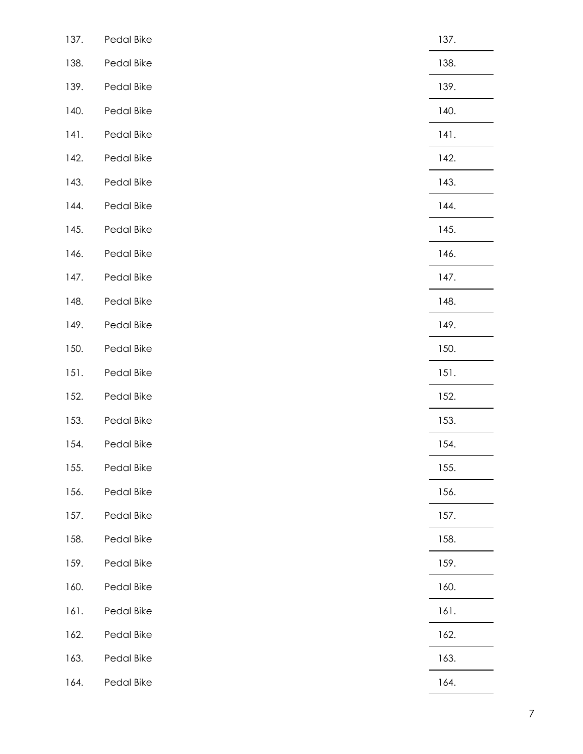| 137. | Pedal Bike | 137. |
|------|------------|------|
| 138. | Pedal Bike | 138. |
| 139. | Pedal Bike | 139. |
| 140. | Pedal Bike | 140. |
| 141. | Pedal Bike | 141. |
| 142. | Pedal Bike | 142. |
| 143. | Pedal Bike | 143. |
| 144. | Pedal Bike | 144. |
| 145. | Pedal Bike | 145. |
| 146. | Pedal Bike | 146. |
| 147. | Pedal Bike | 147. |
| 148. | Pedal Bike | 148. |
| 149. | Pedal Bike | 149. |
| 150. | Pedal Bike | 150. |
| 151. | Pedal Bike | 151. |
| 152. | Pedal Bike | 152. |
| 153. | Pedal Bike | 153. |
| 154. | Pedal Bike | 154. |
| 155. | Pedal Bike | 155. |
| 156. | Pedal Bike | 156. |
| 157. | Pedal Bike | 157. |
| 158. | Pedal Bike | 158. |
| 159. | Pedal Bike | 159. |
| 160. | Pedal Bike | 160. |
| 161. | Pedal Bike | 161. |
| 162. | Pedal Bike | 162. |
| 163. | Pedal Bike | 163. |
| 164. | Pedal Bike | 164. |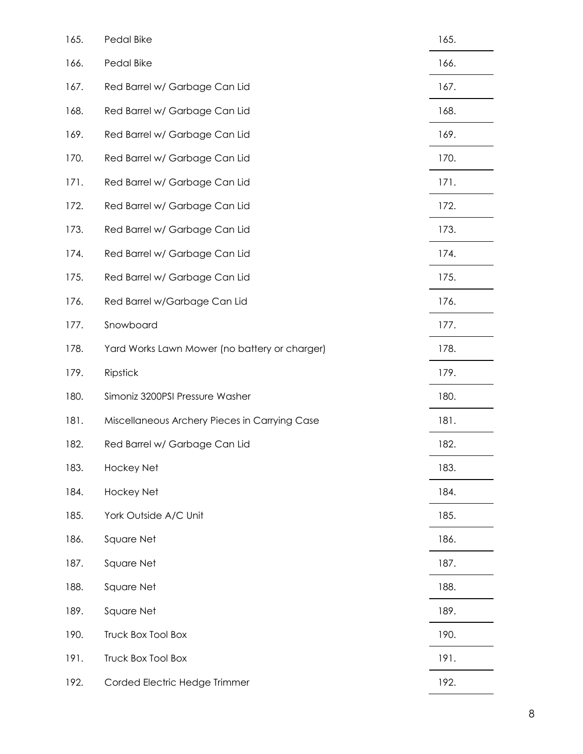| 165. | Pedal Bike                                    | 165. |
|------|-----------------------------------------------|------|
| 166. | Pedal Bike                                    | 166. |
| 167. | Red Barrel w/ Garbage Can Lid                 | 167. |
| 168. | Red Barrel w/ Garbage Can Lid                 | 168. |
| 169. | Red Barrel w/ Garbage Can Lid                 | 169. |
| 170. | Red Barrel w/ Garbage Can Lid                 | 170. |
| 171. | Red Barrel w/ Garbage Can Lid                 | 171. |
| 172. | Red Barrel w/ Garbage Can Lid                 | 172. |
| 173. | Red Barrel w/ Garbage Can Lid                 | 173. |
| 174. | Red Barrel w/ Garbage Can Lid                 | 174. |
| 175. | Red Barrel w/ Garbage Can Lid                 | 175. |
| 176. | Red Barrel w/Garbage Can Lid                  | 176. |
| 177. | Snowboard                                     | 177. |
| 178. | Yard Works Lawn Mower (no battery or charger) | 178. |
| 179. | Ripstick                                      | 179. |
| 180. | Simoniz 3200PSI Pressure Washer               | 180. |
| 181. | Miscellaneous Archery Pieces in Carrying Case | 181. |
| 182. | Red Barrel w/ Garbage Can Lid                 | 182. |
| 183. | Hockey Net                                    | 183. |
| 184. | Hockey Net                                    | 184. |
| 185. | York Outside A/C Unit                         | 185. |
| 186. | Square Net                                    | 186. |
| 187. | Square Net                                    | 187. |
| 188. | Square Net                                    | 188. |
| 189. | Square Net                                    | 189. |
| 190. | Truck Box Tool Box                            | 190. |
| 191. | Truck Box Tool Box                            | 191. |
| 192. | Corded Electric Hedge Trimmer                 | 192. |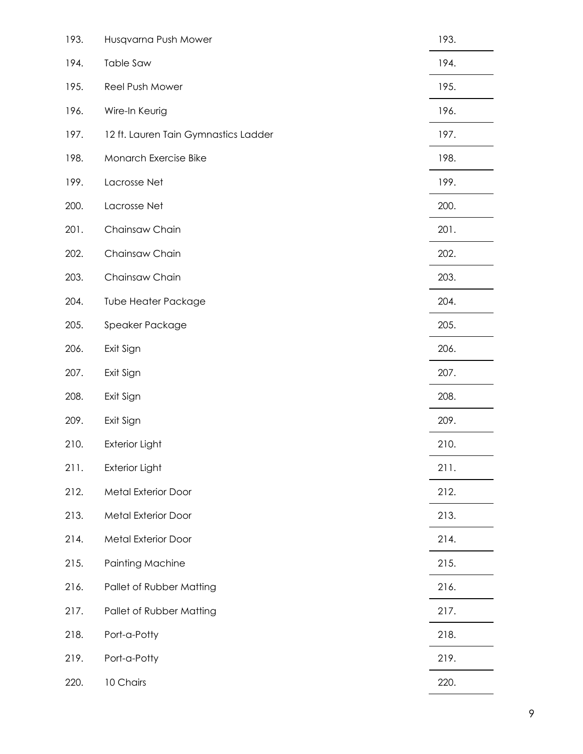| 193. | Husqvarna Push Mower                 | 193. |
|------|--------------------------------------|------|
| 194. | <b>Table Saw</b>                     | 194. |
| 195. | Reel Push Mower                      | 195. |
| 196. | Wire-In Keurig                       | 196. |
| 197. | 12 ft. Lauren Tain Gymnastics Ladder | 197. |
| 198. | Monarch Exercise Bike                | 198. |
| 199. | Lacrosse Net                         | 199. |
| 200. | Lacrosse Net                         | 200. |
| 201. | Chainsaw Chain                       | 201. |
| 202. | Chainsaw Chain                       | 202. |
| 203. | Chainsaw Chain                       | 203. |
| 204. | <b>Tube Heater Package</b>           | 204. |
| 205. | Speaker Package                      | 205. |
| 206. | Exit Sign                            | 206. |
| 207. | Exit Sign                            | 207. |
| 208. | Exit Sign                            | 208. |
| 209. | Exit Sign                            | 209. |
| 210. | <b>Exterior Light</b>                | 210. |
| 211. | <b>Exterior Light</b>                | 211. |
| 212. | Metal Exterior Door                  | 212. |
| 213. | Metal Exterior Door                  | 213. |
| 214. | Metal Exterior Door                  | 214. |
| 215. | Painting Machine                     | 215. |
| 216. | Pallet of Rubber Matting             | 216. |
| 217. | Pallet of Rubber Matting             | 217. |
| 218. | Port-a-Potty                         | 218. |
| 219. | Port-a-Potty                         | 219. |
| 220. | 10 Chairs                            | 220. |